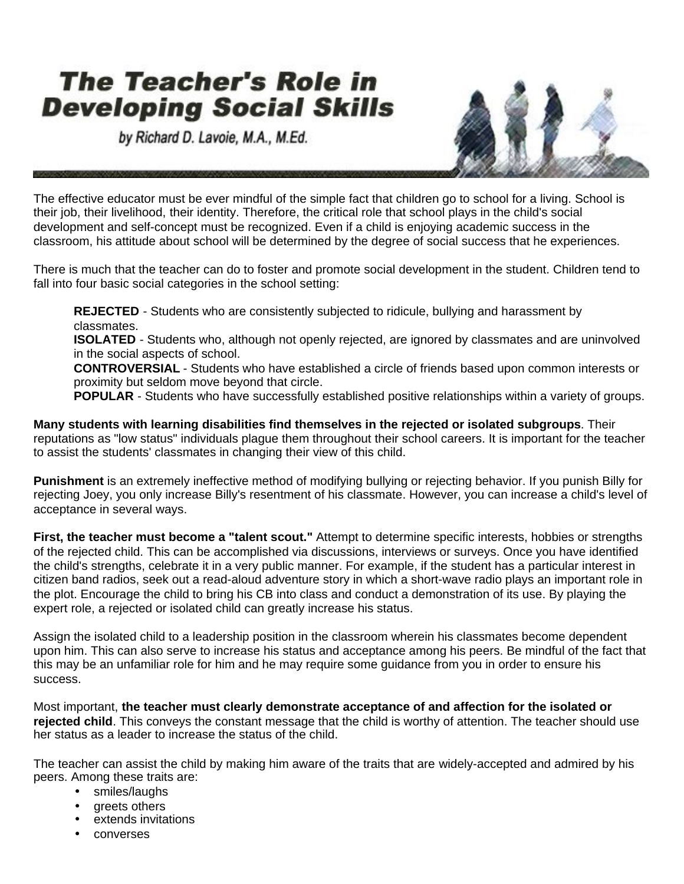## **The Teacher's Role in Developing Social Skills**

by Richard D. Lavoie, M.A., M.Ed.



The effective educator must be ever mindful of the simple fact that children go to school for a living. School is their job, their livelihood, their identity. Therefore, the critical role that school plays in the child's social development and self-concept must be recognized. Even if a child is enjoying academic success in the classroom, his attitude about school will be determined by the degree of social success that he experiences.

There is much that the teacher can do to foster and promote social development in the student. Children tend to fall into four basic social categories in the school setting:

**REJECTED** - Students who are consistently subjected to ridicule, bullying and harassment by classmates.

**ISOLATED** - Students who, although not openly rejected, are ignored by classmates and are uninvolved in the social aspects of school.

**CONTROVERSIAL** - Students who have established a circle of friends based upon common interests or proximity but seldom move beyond that circle.

**POPULAR** - Students who have successfully established positive relationships within a variety of groups.

**Many students with learning disabilities find themselves in the rejected or isolated subgroups**. Their reputations as "low status" individuals plague them throughout their school careers. It is important for the teacher to assist the students' classmates in changing their view of this child.

**Punishment** is an extremely ineffective method of modifying bullying or rejecting behavior. If you punish Billy for rejecting Joey, you only increase Billy's resentment of his classmate. However, you can increase a child's level of acceptance in several ways.

**First, the teacher must become a "talent scout."** Attempt to determine specific interests, hobbies or strengths of the rejected child. This can be accomplished via discussions, interviews or surveys. Once you have identified the child's strengths, celebrate it in a very public manner. For example, if the student has a particular interest in citizen band radios, seek out a read-aloud adventure story in which a short-wave radio plays an important role in the plot. Encourage the child to bring his CB into class and conduct a demonstration of its use. By playing the expert role, a rejected or isolated child can greatly increase his status.

Assign the isolated child to a leadership position in the classroom wherein his classmates become dependent upon him. This can also serve to increase his status and acceptance among his peers. Be mindful of the fact that this may be an unfamiliar role for him and he may require some guidance from you in order to ensure his success.

Most important, **the teacher must clearly demonstrate acceptance of and affection for the isolated or rejected child**. This conveys the constant message that the child is worthy of attention. The teacher should use her status as a leader to increase the status of the child.

The teacher can assist the child by making him aware of the traits that are widely-accepted and admired by his peers. Among these traits are:

- smiles/laughs
- areets others
- extends invitations
- converses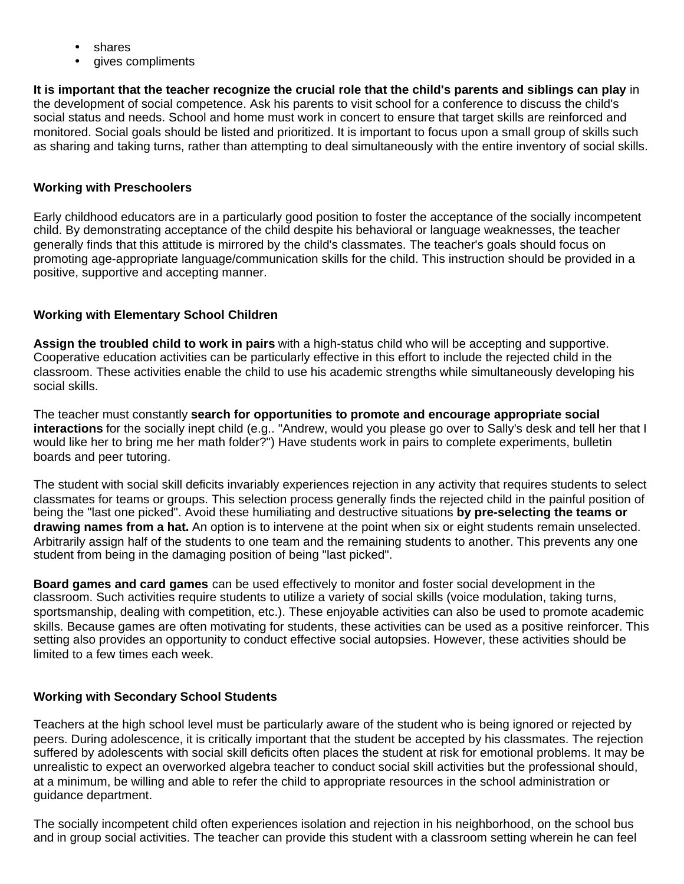- shares
- gives compliments

**It is important that the teacher recognize the crucial role that the child's parents and siblings can play** in the development of social competence. Ask his parents to visit school for a conference to discuss the child's social status and needs. School and home must work in concert to ensure that target skills are reinforced and monitored. Social goals should be listed and prioritized. It is important to focus upon a small group of skills such as sharing and taking turns, rather than attempting to deal simultaneously with the entire inventory of social skills.

## **Working with Preschoolers**

Early childhood educators are in a particularly good position to foster the acceptance of the socially incompetent child. By demonstrating acceptance of the child despite his behavioral or language weaknesses, the teacher generally finds that this attitude is mirrored by the child's classmates. The teacher's goals should focus on promoting age-appropriate language/communication skills for the child. This instruction should be provided in a positive, supportive and accepting manner.

## **Working with Elementary School Children**

**Assign the troubled child to work in pairs** with a high-status child who will be accepting and supportive. Cooperative education activities can be particularly effective in this effort to include the rejected child in the classroom. These activities enable the child to use his academic strengths while simultaneously developing his social skills.

The teacher must constantly **search for opportunities to promote and encourage appropriate social interactions** for the socially inept child (e.g.. "Andrew, would you please go over to Sally's desk and tell her that I would like her to bring me her math folder?") Have students work in pairs to complete experiments, bulletin boards and peer tutoring.

The student with social skill deficits invariably experiences rejection in any activity that requires students to select classmates for teams or groups. This selection process generally finds the rejected child in the painful position of being the "last one picked". Avoid these humiliating and destructive situations **by pre-selecting the teams or drawing names from a hat.** An option is to intervene at the point when six or eight students remain unselected. Arbitrarily assign half of the students to one team and the remaining students to another. This prevents any one student from being in the damaging position of being "last picked".

**Board games and card games** can be used effectively to monitor and foster social development in the classroom. Such activities require students to utilize a variety of social skills (voice modulation, taking turns, sportsmanship, dealing with competition, etc.). These enjoyable activities can also be used to promote academic skills. Because games are often motivating for students, these activities can be used as a positive reinforcer. This setting also provides an opportunity to conduct effective social autopsies. However, these activities should be limited to a few times each week.

## **Working with Secondary School Students**

Teachers at the high school level must be particularly aware of the student who is being ignored or rejected by peers. During adolescence, it is critically important that the student be accepted by his classmates. The rejection suffered by adolescents with social skill deficits often places the student at risk for emotional problems. It may be unrealistic to expect an overworked algebra teacher to conduct social skill activities but the professional should, at a minimum, be willing and able to refer the child to appropriate resources in the school administration or guidance department.

The socially incompetent child often experiences isolation and rejection in his neighborhood, on the school bus and in group social activities. The teacher can provide this student with a classroom setting wherein he can feel